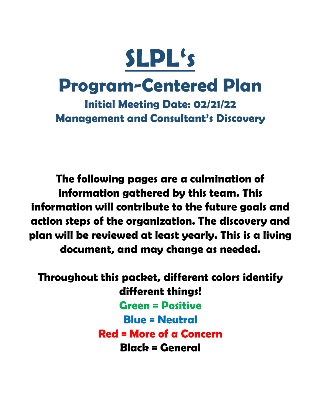

#### *Program-Centered Plan*

*Initial Meeting Date: 02/21/22*  **Management and Consultant's** *Discovery* 

*The following pages are a culmination of information gathered by this team. This information will contribute to the future goals and action steps of the organization. The discovery and plan will be reviewed at least yearly. This is a living document, and may change as needed.* 

*Throughout this packet, different colors identify different things! Green = Positive Blue = Neutral Red = More of a Concern Black = General*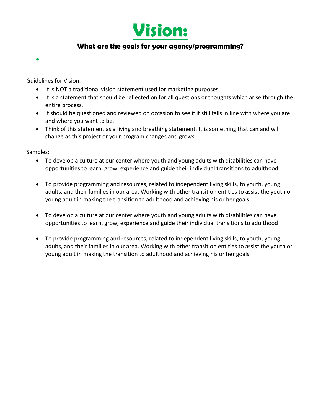

#### *What are the goals for your agency/programming?*

Guidelines for Vision:

- It is NOT a traditional vision statement used for marketing purposes.
- It is a statement that should be reflected on for all questions or thoughts which arise through the entire process.
- It should be questioned and reviewed on occasion to see if it still falls in line with where you are and where you want to be.
- Think of this statement as a living and breathing statement. It is something that can and will change as this project or your program changes and grows.

Samples:

 $\bullet$ 

- To develop a culture at our center where youth and young adults with disabilities can have opportunities to learn, grow, experience and guide their individual transitions to adulthood.
- To provide programming and resources, related to independent living skills, to youth, young adults, and their families in our area. Working with other transition entities to assist the youth or young adult in making the transition to adulthood and achieving his or her goals.
- To develop a culture at our center where youth and young adults with disabilities can have opportunities to learn, grow, experience and guide their individual transitions to adulthood.
- To provide programming and resources, related to independent living skills, to youth, young adults, and their families in our area. Working with other transition entities to assist the youth or young adult in making the transition to adulthood and achieving his or her goals.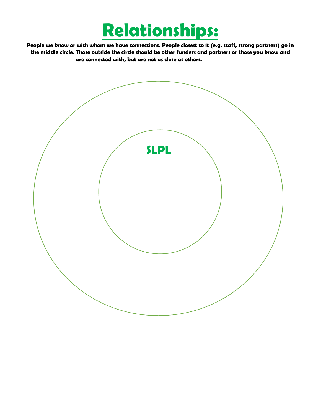### *Relationships:*

*People we know or with whom we have connections. People closest to it (e.g. staff, strong partners) go in the middle circle. Those outside the circle should be other funders and partners or those you know and are connected with, but are not as close as others.* 

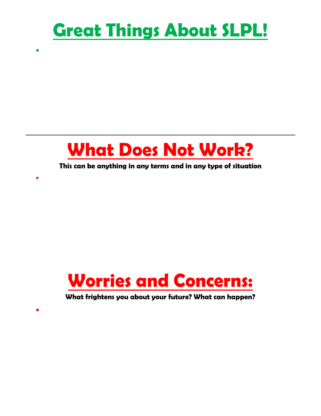

 $\bullet$ 

 $\bullet$ 



*This can be anything in any terms and in any type of situation*



*What frightens you about your future? What can happen?*